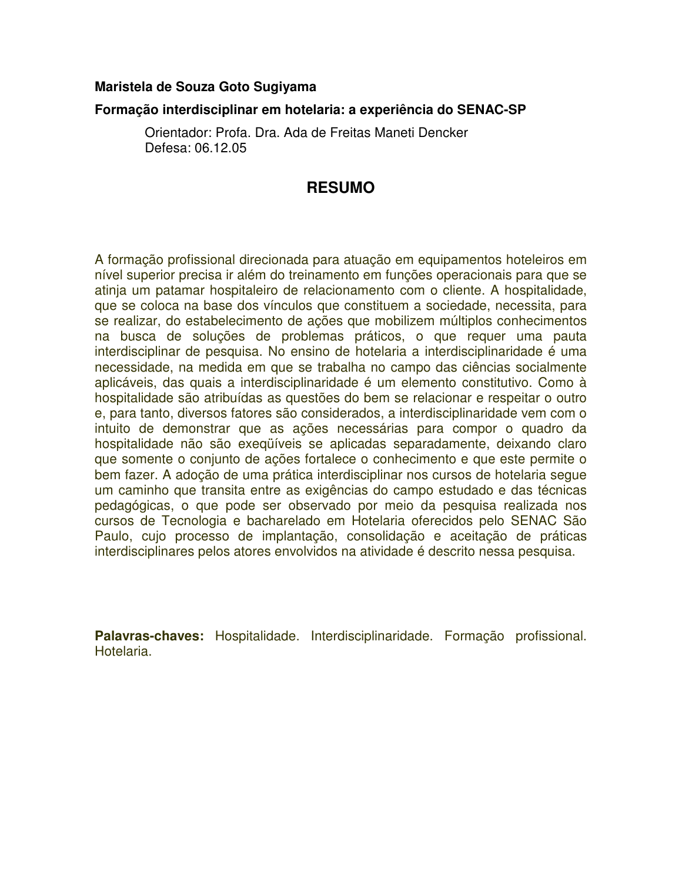## **Maristela de Souza Goto Sugiyama**

## **Formação interdisciplinar em hotelaria: a experiência do SENAC-SP**

Orientador: Profa. Dra. Ada de Freitas Maneti Dencker Defesa: 06.12.05

## **RESUMO**

A formação profissional direcionada para atuação em equipamentos hoteleiros em nível superior precisa ir além do treinamento em funções operacionais para que se atinja um patamar hospitaleiro de relacionamento com o cliente. A hospitalidade, que se coloca na base dos vínculos que constituem a sociedade, necessita, para se realizar, do estabelecimento de ações que mobilizem múltiplos conhecimentos na busca de soluções de problemas práticos, o que requer uma pauta interdisciplinar de pesquisa. No ensino de hotelaria a interdisciplinaridade é uma necessidade, na medida em que se trabalha no campo das ciências socialmente aplicáveis, das quais a interdisciplinaridade é um elemento constitutivo. Como à hospitalidade são atribuídas as questões do bem se relacionar e respeitar o outro e, para tanto, diversos fatores são considerados, a interdisciplinaridade vem com o intuito de demonstrar que as ações necessárias para compor o quadro da hospitalidade não são exeqüíveis se aplicadas separadamente, deixando claro que somente o conjunto de ações fortalece o conhecimento e que este permite o bem fazer. A adoção de uma prática interdisciplinar nos cursos de hotelaria segue um caminho que transita entre as exigências do campo estudado e das técnicas pedagógicas, o que pode ser observado por meio da pesquisa realizada nos cursos de Tecnologia e bacharelado em Hotelaria oferecidos pelo SENAC São Paulo, cujo processo de implantação, consolidação e aceitação de práticas interdisciplinares pelos atores envolvidos na atividade é descrito nessa pesquisa.

**Palavras-chaves:** Hospitalidade. Interdisciplinaridade. Formação profissional. Hotelaria.